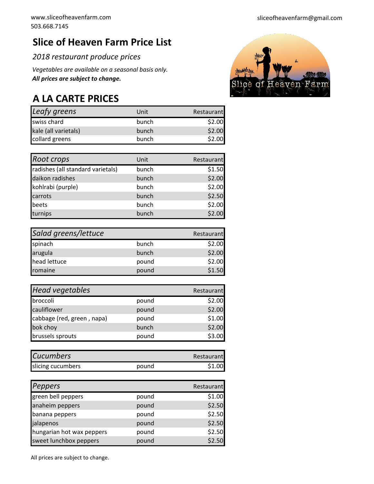## **Slice of Heaven Farm Price List**

*2018 restaurant produce prices*

*All prices are subject to change. Vegetables are available on a seasonal basis only.* 

## **A LA CARTE PRICES**

| Leafy greens         | Unit  | Restaurant |
|----------------------|-------|------------|
| swiss chard          | bunch | \$2.00     |
| kale (all varietals) | bunch | \$2.00     |
| collard greens       | bunch | \$2.00     |

| Root crops                        | Unit  | Restaurant |
|-----------------------------------|-------|------------|
| radishes (all standard varietals) | bunch | \$1.50     |
| daikon radishes                   | bunch | \$2.00     |
| kohlrabi (purple)                 | bunch | \$2.00     |
| carrots                           | bunch | \$2.50     |
| beets                             | bunch | \$2.00     |
| turnips                           | bunch | \$2.00     |

| Salad greens/lettuce |       | Restaurant |
|----------------------|-------|------------|
| spinach              | bunch | \$2.00     |
| arugula              | bunch | \$2.00     |
| head lettuce         | pound | \$2.00     |
| romaine              | pound | \$1.50     |

| <b>Head vegetables</b>     |       | Restaurant |
|----------------------------|-------|------------|
| broccoli                   | pound | \$2.00     |
| cauliflower                | pound | \$2.00     |
| cabbage (red, green, napa) | pound | \$1.00     |
| bok choy                   | bunch | \$2.00     |
| brussels sprouts           | pound | \$3.00     |

| <b>Cucumbers</b>  |       | Restaurant |
|-------------------|-------|------------|
| slicing cucumbers | pound | \$1.00     |

| <b>Peppers</b>            |       | Restaurant |
|---------------------------|-------|------------|
| green bell peppers        | pound | \$1.00     |
| anaheim peppers           | pound | \$2.50     |
| banana peppers            | pound | \$2.50     |
| jalapenos                 | pound | \$2.50     |
| hungarian hot wax peppers | pound | \$2.50     |
| sweet lunchbox peppers    | pound | \$2.50     |

All prices are subject to change.

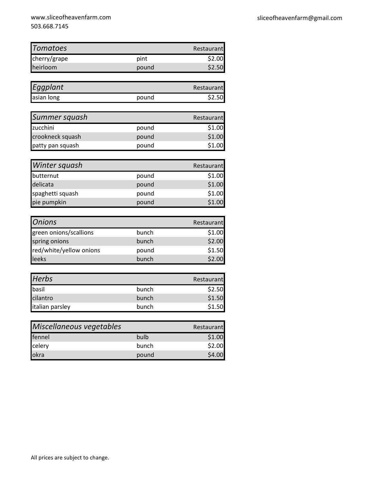| <b>Tomatoes</b> |       | Restaurant |
|-----------------|-------|------------|
| cherry/grape    | pint  | \$2.00     |
| heirloom        | pound | \$2.50     |

| Eggplant   |       | Restaurant |
|------------|-------|------------|
| asian long | pound | \$2.50     |

| Summer squash    |       | Restaurant |
|------------------|-------|------------|
| zucchini         | pound | \$1.00     |
| crookneck squash | pound | \$1.00     |
| patty pan squash | pound | \$1.00     |

| Winter squash    |       | Restaurant |
|------------------|-------|------------|
| butternut        | pound | \$1.00     |
| delicata         | pound | \$1.00     |
| spaghetti squash | pound | \$1.00     |
| pie pumpkin      | pound | \$1.00     |

| <b>Onions</b>           |       | Restaurant |
|-------------------------|-------|------------|
| green onions/scallions  | bunch | \$1.00     |
| spring onions           | bunch | \$2.00     |
| red/white/yellow onions | pound | \$1.50     |
| leeks                   | bunch | \$2.00     |

| <b>Herbs</b>    |       | Restaurant |
|-----------------|-------|------------|
| basil           | bunch | \$2.50     |
| cilantro        | bunch | \$1.50     |
| italian parsley | bunch | \$1.50     |

| Miscellaneous vegetables | Restaurant |        |
|--------------------------|------------|--------|
| fennel                   | bulb       | \$1.00 |
| celery<br>okra           | bunch      | \$2.00 |
|                          | pound      | \$4.00 |